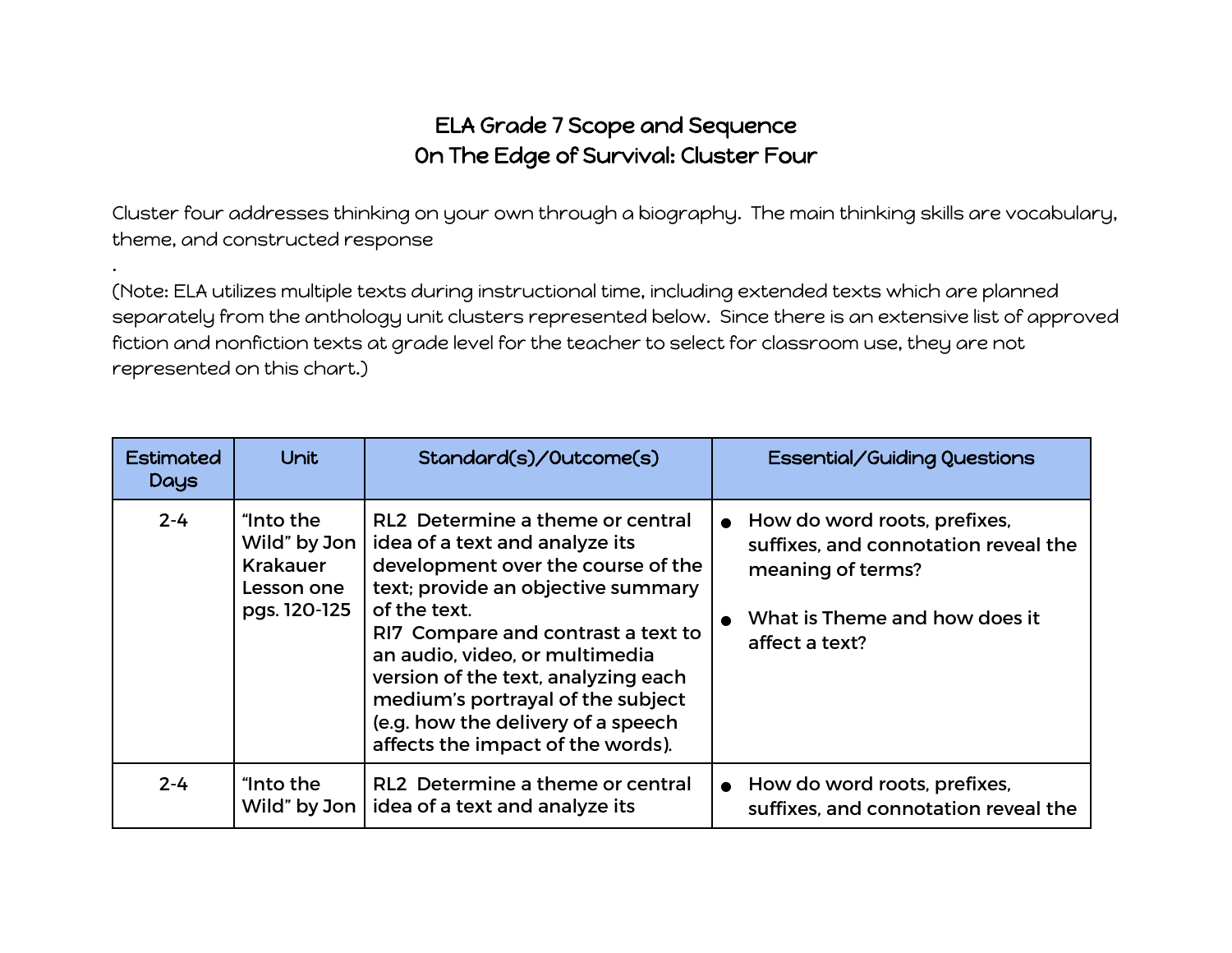## ELA Grade 7 Scope and Sequence On The Edge of Survival: Cluster Four

Cluster four addresses thinking on your own through a biography. The main thinking skills are vocabulary, theme, and constructed response

.

(Note: ELA utilizes multiple texts during instructional time, including extended texts which are planned separately from the anthology unit clusters represented below. Since there is an extensive list of approved fiction and nonfiction texts at grade level for the teacher to select for classroom use, they are not represented on this chart.)

| <b>Estimated</b><br><b>Days</b> | Unit                                                                       | Standard(s)/Outcome(s)                                                                                                                                                                                                                                                                                                                                                                        | Essential/Guiding Questions                                                                                                                  |
|---------------------------------|----------------------------------------------------------------------------|-----------------------------------------------------------------------------------------------------------------------------------------------------------------------------------------------------------------------------------------------------------------------------------------------------------------------------------------------------------------------------------------------|----------------------------------------------------------------------------------------------------------------------------------------------|
| $2 - 4$                         | "Into the<br>Wild" by Jon<br><b>Krakauer</b><br>Lesson one<br>pgs. 120-125 | RL2 Determine a theme or central<br>idea of a text and analyze its<br>development over the course of the<br>text; provide an objective summary<br>of the text.<br>RI7 Compare and contrast a text to<br>an audio, video, or multimedia<br>version of the text, analyzing each<br>medium's portrayal of the subject<br>(e.g. how the delivery of a speech<br>affects the impact of the words). | How do word roots, prefixes,<br>suffixes, and connotation reveal the<br>meaning of terms?<br>What is Theme and how does it<br>affect a text? |
| $2 - 4$                         | "Into the<br>Wild" by Jon                                                  | RL2 Determine a theme or central<br>idea of a text and analyze its                                                                                                                                                                                                                                                                                                                            | How do word roots, prefixes,<br>suffixes, and connotation reveal the                                                                         |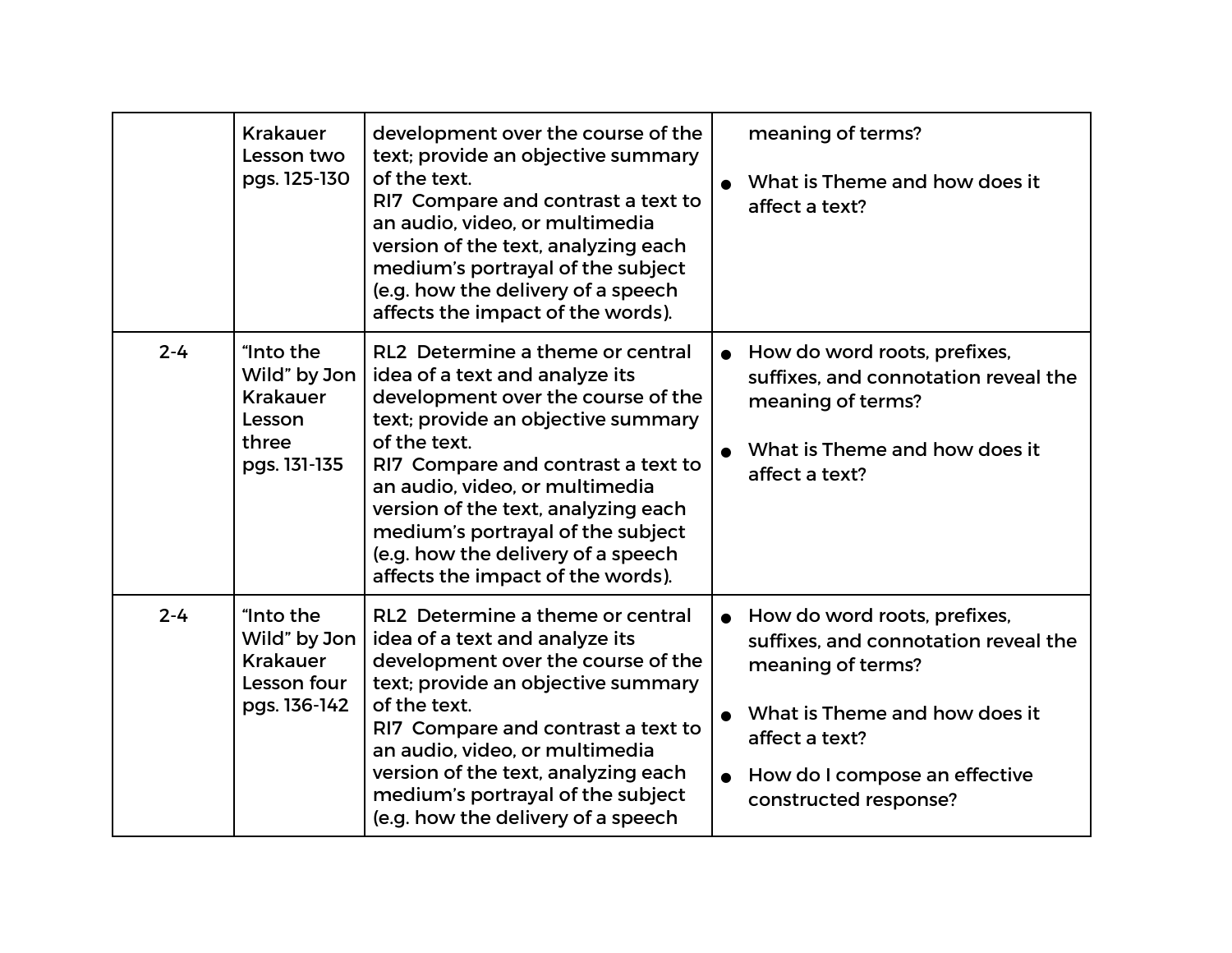|         | <b>Krakauer</b><br>Lesson two<br>pgs. 125-130                                   | development over the course of the<br>text; provide an objective summary<br>of the text.<br>RI7 Compare and contrast a text to<br>an audio, video, or multimedia<br>version of the text, analyzing each<br>medium's portrayal of the subject<br>(e.g. how the delivery of a speech<br>affects the impact of the words).                                                                       | meaning of terms?<br>What is Theme and how does it<br>affect a text?                                                                                                                                   |
|---------|---------------------------------------------------------------------------------|-----------------------------------------------------------------------------------------------------------------------------------------------------------------------------------------------------------------------------------------------------------------------------------------------------------------------------------------------------------------------------------------------|--------------------------------------------------------------------------------------------------------------------------------------------------------------------------------------------------------|
| $2 - 4$ | "Into the<br>Wild" by Jon<br><b>Krakauer</b><br>Lesson<br>three<br>pgs. 131-135 | RL2 Determine a theme or central<br>idea of a text and analyze its<br>development over the course of the<br>text; provide an objective summary<br>of the text.<br>RI7 Compare and contrast a text to<br>an audio, video, or multimedia<br>version of the text, analyzing each<br>medium's portrayal of the subject<br>(e.g. how the delivery of a speech<br>affects the impact of the words). | How do word roots, prefixes,<br>suffixes, and connotation reveal the<br>meaning of terms?<br>What is Theme and how does it<br>affect a text?                                                           |
| $2 - 4$ | "Into the<br>Wild" by Jon<br><b>Krakauer</b><br>Lesson four<br>pgs. 136-142     | RL2 Determine a theme or central<br>idea of a text and analyze its<br>development over the course of the<br>text; provide an objective summary<br>of the text.<br>RI7 Compare and contrast a text to<br>an audio, video, or multimedia<br>version of the text, analyzing each<br>medium's portrayal of the subject<br>(e.g. how the delivery of a speech                                      | How do word roots, prefixes,<br>suffixes, and connotation reveal the<br>meaning of terms?<br>What is Theme and how does it<br>affect a text?<br>How do I compose an effective<br>constructed response? |